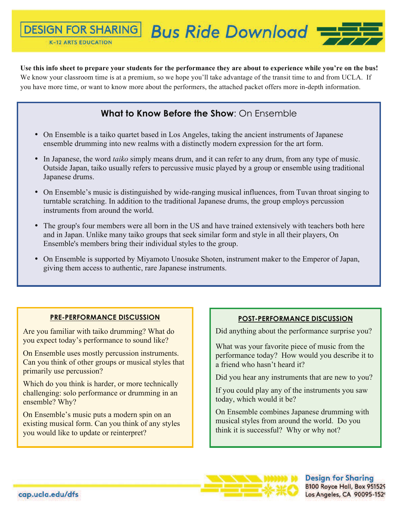x

 $\mathbf{r}$ 

 $\mathbf{r}$ 

 $\mathbf{r}$ 

 $\mathbf{r}$ 

 $\mathbf{r}$ 

## **Bus Ride Download = DESIGN FOR SHARING K-12 ARTS EDUCATION**

## **Use this info sheet to prepare your students for the performance they are about to experience while you're on the bus!**

We know your classroom time is at a premium, so we hope you'll take advantage of the transit time to and from UCLA. If you have more time, or want to know more about the performers, the attached packet offers more in-depth information.

## **What to Know Before the Show**: On Ensemble

- On Ensemble is a taiko quartet based in Los Angeles, taking the ancient instruments of Japanese ensemble drumming into new realms with a distinctly modern expression for the art form.
- In Japanese, the word *taiko* simply means drum, and it can refer to any drum, from any type of music. Outside Japan, taiko usually refers to percussive music played by a group or ensemble using traditional Japanese drums.
- On Ensemble's music is distinguished by wide-ranging musical influences, from Tuvan throat singing to turntable scratching. In addition to the traditional Japanese drums, the group employs percussion instruments from around the world.
- The group's four members were all born in the US and have trained extensively with teachers both here and in Japan. Unlike many taiko groups that seek similar form and style in all their players, On Ensemble's members bring their individual styles to the group.
- On Ensemble is supported by Miyamoto Unosuke Shoten, instrument maker to the Emperor of Japan, giving them access to authentic, rare Japanese instruments.

## **PRE-PERFORMANCE DISCUSSION**

Are you familiar with taiko drumming? What do you expect today's performance to sound like?

On Ensemble uses mostly percussion instruments. Can you think of other groups or musical styles that primarily use percussion?

Which do you think is harder, or more technically challenging: solo performance or drumming in an ensemble? Why?

On Ensemble's music puts a modern spin on an existing musical form. Can you think of any styles you would like to update or reinterpret?

## **POST-PERFORMANCE DISCUSSION**

Did anything about the performance surprise you?

What was your favorite piece of music from the performance today? How would you describe it to a friend who hasn't heard it?

Did you hear any instruments that are new to you?

If you could play any of the instruments you saw today, which would it be?

On Ensemble combines Japanese drumming with musical styles from around the world. Do you think it is successful? Why or why not?

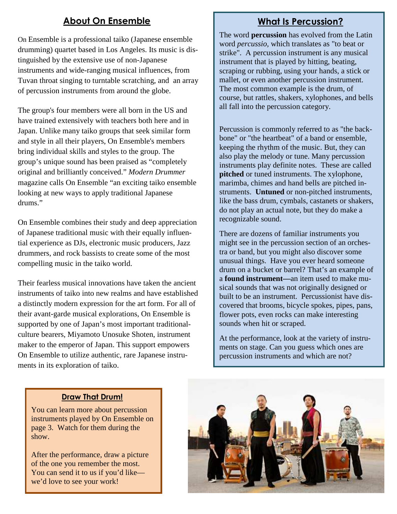## **About On Ensemble**

On Ensemble is a professional taiko (Japanese ensemble drumming) quartet based in Los Angeles. Its music is distinguished by the extensive use of non-Japanese instruments and wide-ranging musical influences, from Tuvan throat singing to turntable scratching, and an array of percussion instruments from around the globe.

The group's four members were all born in the US and have trained extensively with teachers both here and in Japan. Unlike many taiko groups that seek similar form and style in all their players, On Ensemble's members bring individual skills and styles to the group. The group's unique sound has been praised as "completely original and brilliantly conceived." *Modern Drummer* magazine calls On Ensemble "an exciting taiko ensemble looking at new ways to apply traditional Japanese drums."

On Ensemble combines their study and deep appreciation of Japanese traditional music with their equally influential experience as DJs, electronic music producers, Jazz drummers, and rock bassists to create some of the most compelling music in the taiko world.

Their fearless musical innovations have taken the ancient instruments of taiko into new realms and have established a distinctly modern expression for the art form. For all of their avant-garde musical explorations, On Ensemble is supported by one of Japan's most important traditionalculture bearers, Miyamoto Unosuke Shoten, instrument maker to the emperor of Japan. This support empowers On Ensemble to utilize authentic, rare Japanese instruments in its exploration of taiko.

## **What Is Percussion?**

The word **percussion** has evolved from the Latin word *percussio,* which translates as "to beat or strike". A percussion instrument is any musical instrument that is played by hitting, beating, scraping or rubbing, using your hands, a stick or mallet, or even another percussion instrument. The most common example is the drum, of course, but rattles, shakers, xylophones, and bells all fall into the percussion category.

Percussion is commonly referred to as "the backbone" or "the heartbeat" of a band or ensemble, keeping the rhythm of the music. But, they can also play the melody or tune. Many percussion instruments play definite notes. These are called **pitched** or tuned instruments. The xylophone, marimba, chimes and hand bells are pitched instruments. **Untuned** or non-pitched instruments, like the bass drum, cymbals, castanets or shakers, do not play an actual note, but they do make a recognizable sound.

There are dozens of familiar instruments you might see in the percussion section of an orchestra or band, but you might also discover some unusual things. Have you ever heard someone drum on a bucket or barrel? That's an example of a **found instrument—**an item used to make musical sounds that was not originally designed or built to be an instrument. Percussionist have discovered that brooms, bicycle spokes, pipes, pans, flower pots, even rocks can make interesting sounds when hit or scraped.

At the performance, look at the variety of instruments on stage. Can you guess which ones are percussion instruments and which are not?

#### **Draw That Drum!**

You can learn more about percussion instruments played by On Ensemble on page 3. Watch for them during the show.

After the performance, draw a picture of the one you remember the most. You can send it to us if you'd like we'd love to see your work!

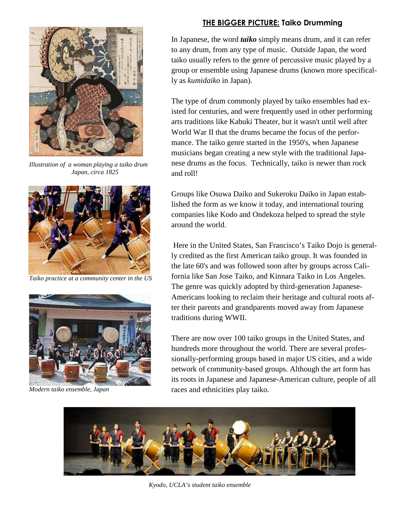

*Illustration of a woman playing a taiko drum Japan, circa 1825* 



*Taiko practice at a community center in the US*



*Modern taiko ensemble, Japan* 

## **THE BIGGER PICTURE: Taiko Drumming**

In Japanese, the word *taiko* simply means drum, and it can refer to any drum, from any type of music. Outside Japan, the word taiko usually refers to the genre of percussive music played by a group or ensemble using Japanese drums (known more specifically as *kumidaiko* in Japan).

The type of drum commonly played by taiko ensembles had existed for centuries, and were frequently used in other performing arts traditions like Kabuki Theater, but it wasn't until well after World War II that the drums became the focus of the performance. The taiko genre started in the 1950's, when Japanese musicians began creating a new style with the traditional Japanese drums as the focus. Technically, taiko is newer than rock and roll!

Groups like Osuwa Daiko and Sukeroku Daiko in Japan established the form as we know it today, and international touring companies like Kodo and Ondekoza helped to spread the style around the world.

 Here in the United States, San Francisco's Taiko Dojo is generally credited as the first American taiko group. It was founded in the late 60's and was followed soon after by groups across California like San Jose Taiko, and Kinnara Taiko in Los Angeles. The genre was quickly adopted by third-generation Japanese-Americans looking to reclaim their heritage and cultural roots after their parents and grandparents moved away from Japanese traditions during WWII.

There are now over 100 taiko groups in the United States, and hundreds more throughout the world. There are several professionally-performing groups based in major US cities, and a wide network of community-based groups. Although the art form has its roots in Japanese and Japanese-American culture, people of all races and ethnicities play taiko.



*Kyodo, UCLA's student taiko ensemble*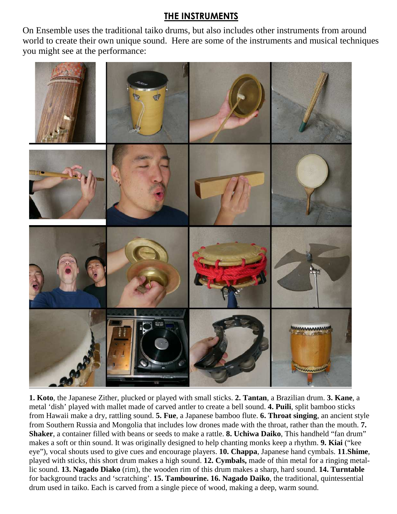## **THE INSTRUMENTS**

On Ensemble uses the traditional taiko drums, but also includes other instruments from around world to create their own unique sound. Here are some of the instruments and musical techniques you might see at the performance:



**1. Koto**, the Japanese Zither, plucked or played with small sticks. **2. Tantan**, a Brazilian drum. **3. Kane**, a metal 'dish' played with mallet made of carved antler to create a bell sound. **4. Puili**, split bamboo sticks from Hawaii make a dry, rattling sound. **5. Fue**, a Japanese bamboo flute. **6. Throat singing**, an ancient style from Southern Russia and Mongolia that includes low drones made with the throat, rather than the mouth. **7. Shaker**, a container filled with beans or seeds to make a rattle. **8. Uchiwa Daiko**, This handheld "fan drum" makes a soft or thin sound. It was originally designed to help chanting monks keep a rhythm. **9. Kiai** ("kee eye"), vocal shouts used to give cues and encourage players. **10. Chappa**, Japanese hand cymbals. **11**.**Shime**, played with sticks, this short drum makes a high sound. **12. Cymbals,** made of thin metal for a ringing metallic sound. **13. Nagado Diako** (rim), the wooden rim of this drum makes a sharp, hard sound. **14. Turntable** for background tracks and 'scratching'. **15. Tambourine. 16. Nagado Daiko**, the traditional, quintessential drum used in taiko. Each is carved from a single piece of wood, making a deep, warm sound.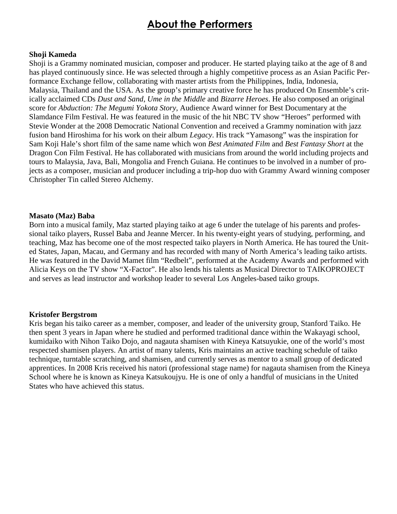# **About the Performers**

#### **Shoji Kameda**

Shoji is a Grammy nominated musician, composer and producer. He started playing taiko at the age of 8 and has played continuously since. He was selected through a highly competitive process as an Asian Pacific Performance Exchange fellow, collaborating with master artists from the Philippines, India, Indonesia, Malaysia, Thailand and the USA. As the group's primary creative force he has produced On Ensemble's critically acclaimed CDs *Dust and Sand*, *Ume in the Middle* and *Bizarre Heroes*. He also composed an original score for *Abduction: The Megumi Yokota Story*, Audience Award winner for Best Documentary at the Slamdance Film Festival. He was featured in the music of the hit NBC TV show "Heroes" performed with Stevie Wonder at the 2008 Democratic National Convention and received a Grammy nomination with jazz fusion band Hiroshima for his work on their album *Legacy*. His track "Yamasong" was the inspiration for Sam Koji Hale's short film of the same name which won *Best Animated Film* and *Best Fantasy Short* at the Dragon Con Film Festival. He has collaborated with musicians from around the world including projects and tours to Malaysia, Java, Bali, Mongolia and French Guiana. He continues to be involved in a number of projects as a composer, musician and producer including a trip-hop duo with Grammy Award winning composer Christopher Tin called Stereo Alchemy.

#### **Masato (Maz) Baba**

Born into a musical family, Maz started playing taiko at age 6 under the tutelage of his parents and professional taiko players, Russel Baba and Jeanne Mercer. In his twenty-eight years of studying, performing, and teaching, Maz has become one of the most respected taiko players in North America. He has toured the United States, Japan, Macau, and Germany and has recorded with many of North America's leading taiko artists. He was featured in the David Mamet film "Redbelt", performed at the Academy Awards and performed with Alicia Keys on the TV show "X-Factor". He also lends his talents as Musical Director to TAIKOPROJECT and serves as lead instructor and workshop leader to several Los Angeles-based taiko groups.

#### **Kristofer Bergstrom**

Kris began his taiko career as a member, composer, and leader of the university group, Stanford Taiko. He then spent 3 years in Japan where he studied and performed traditional dance within the Wakayagi school, kumidaiko with Nihon Taiko Dojo, and nagauta shamisen with Kineya Katsuyukie, one of the world's most respected shamisen players. An artist of many talents, Kris maintains an active teaching schedule of taiko technique, turntable scratching, and shamisen, and currently serves as mentor to a small group of dedicated apprentices. In 2008 Kris received his natori (professional stage name) for nagauta shamisen from the Kineya School where he is known as Kineya Katsukoujyu. He is one of only a handful of musicians in the United States who have achieved this status.